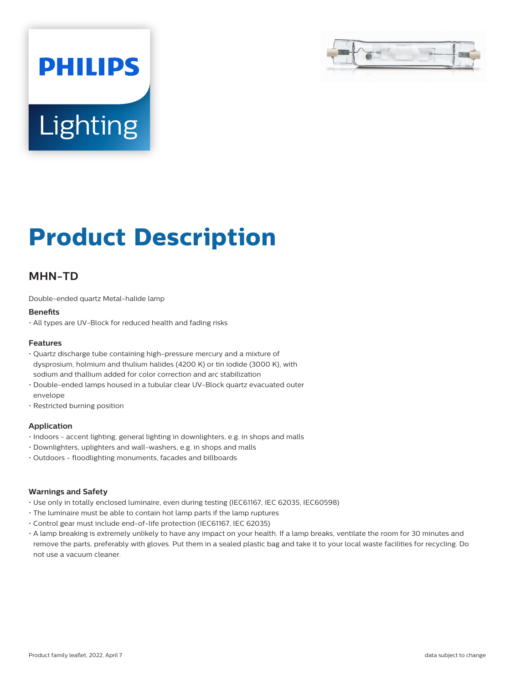

# **Lighting**

**PHILIPS** 

# **Product Description**

## **MHN-TD**

Double-ended quartz Metal-halide lamp

#### **Benefits**

• All types are UV-Block for reduced health and fading risks

#### **Features**

- Quartz discharge tube containing high-pressure mercury and a mixture of dysprosium, holmium and thulium halides (4200 K) or tin iodide (3000 K), with sodium and thallium added for color correction and arc stabilization
- Double-ended lamps housed in a tubular clear UV-Block quartz evacuated outer envelope
- Restricted burning position

#### **Application**

- Indoors accent lighting, general lighting in downlighters, e.g. in shops and malls
- Downlighters, uplighters and wall-washers, e.g. in shops and malls
- Outdoors floodlighting monuments, facades and billboards

#### **Warnings and Safety**

- Use only in totally enclosed luminaire, even during testing (IEC61167, IEC 62035, IEC60598)
- The luminaire must be able to contain hot lamp parts if the lamp ruptures
- Control gear must include end-of-life protection (IEC61167, IEC 62035)
- A lamp breaking is extremely unlikely to have any impact on your health. If a lamp breaks, ventilate the room for 30 minutes and remove the parts, preferably with gloves. Put them in a sealed plastic bag and take it to your local waste facilities for recycling. Do not use a vacuum cleaner.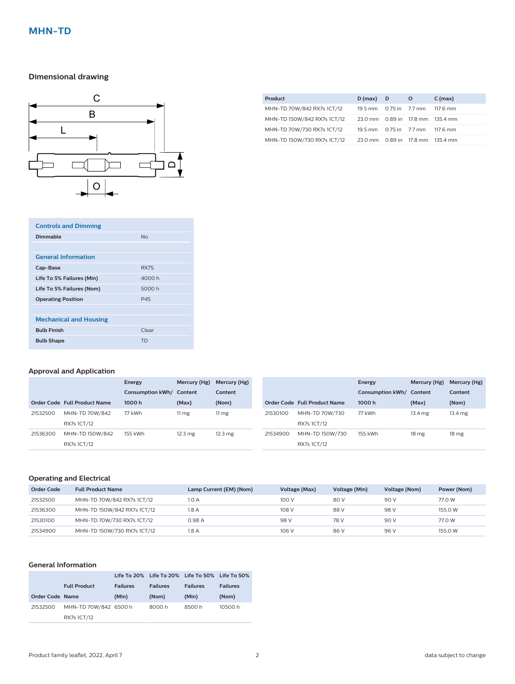### **Dimensional drawing**



| Product                     | $D(max)$ $D$                     | $\circ$ | $C$ (max) |
|-----------------------------|----------------------------------|---------|-----------|
| MHN-TD 70W/842 RX7s 1CT/12  | 19.5 mm 0.75 in 7.7 mm           |         | 117.6 mm  |
| MHN-TD 150W/842 RX7s 1CT/12 | 23.0 mm 0.89 in 17.8 mm 135.4 mm |         |           |
| MHN-TD 70W/730 RX7s 1CT/12  | 19.5 mm 0.75 in 7.7 mm           |         | 117.6 mm  |
| MHN-TD 150W/730 RX7s 1CT/12 | 23.0 mm 0.89 in 17.8 mm          |         | 135.4 mm  |

| <b>Controls and Dimming</b>   |                |
|-------------------------------|----------------|
| Dimmable                      | N <sub>0</sub> |
|                               |                |
| <b>General Information</b>    |                |
| Cap-Base                      | RX7S           |
| Life To 5% Failures (Min)     | 4000 h         |
| Life To 5% Failures (Nom)     | 5000 h         |
| <b>Operating Position</b>     | P45            |
|                               |                |
| <b>Mechanical and Housing</b> |                |
| <b>Bulb Finish</b>            | Clear          |
| <b>Bulb Shape</b>             | <b>TD</b>      |

#### **Approval and Application**

|          |                              | Energy                   | Mercury (Hg)      | Mercury (Hg)      |          |                              | Energy                   | Mercury (Hg)     | Mercury (Hg)      |
|----------|------------------------------|--------------------------|-------------------|-------------------|----------|------------------------------|--------------------------|------------------|-------------------|
|          |                              | Consumption kWh/ Content |                   | Content           |          |                              | Consumption kWh/ Content |                  | Content           |
|          | Order Code Full Product Name | 1000 h                   | (Max)             | (Nom)             |          | Order Code Full Product Name | 1000h                    | (Max)            | (Nom)             |
| 21532500 | MHN-TD 70W/842               | 77 kWh                   | 11 $mg$           | 11 mg             | 21530100 | MHN-TD 70W/730               | 77 kWh                   | 13.4 mg          | $13.4 \text{ mg}$ |
|          | RX7s 1CT/12                  |                          |                   |                   |          | RX7s 1CT/12                  |                          |                  |                   |
| 21536300 | MHN-TD 150W/842              | 155 kWh                  | $12.3 \text{ mg}$ | $12.3 \text{ mg}$ | 21534900 | MHN-TD 150W/730              | 155 kWh                  | 18 <sub>mg</sub> | 18 mg             |
|          | RX7s 1CT/12                  |                          |                   |                   |          | RX7s 1CT/12                  |                          |                  |                   |

#### **Operating and Electrical**

| Order Code | <b>Full Product Name</b>    | Lamp Current (EM) (Nom) | Voltage (Max) | Voltage (Min) | <b>Voltage (Nom)</b> | Power (Nom) |
|------------|-----------------------------|-------------------------|---------------|---------------|----------------------|-------------|
| 21532500   | MHN-TD 70W/842 RX7s 1CT/12  | 1.0 A                   | 100 V         | 80 V          | 90 V                 | 77.0 W      |
| 21536300   | MHN-TD 150W/842 RX7s 1CT/12 | 1.8 A                   | 108 V         | 88 V          | 98 V                 | 155.0 W     |
| 21530100   | MHN-TD 70W/730 RX7s 1CT/12  | 0.98 A                  | 98 V          | 78 V          | 90 V                 | 77.0 W      |
| 21534900   | MHN-TD 150W/730 RX7s 1CT/12 | 1.8 A                   | 106 V         | 86 V          | 96 V                 | 155.0 W     |

#### **General Information**

|                        |                       |                 |                 | Life To 20% Life To 20% Life To 50% Life To 50% |                 |
|------------------------|-----------------------|-----------------|-----------------|-------------------------------------------------|-----------------|
|                        | <b>Full Product</b>   | <b>Failures</b> | <b>Failures</b> | <b>Failures</b>                                 | <b>Failures</b> |
| <b>Order Code Name</b> |                       | (Min)           | (Nom)           | (Min)                                           | (Nom)           |
| 21532500               | MHN-TD 70W/842 6500 h |                 | 8000 h          | 8500h                                           | 10500 h         |
|                        | RX7s 1CT/12           |                 |                 |                                                 |                 |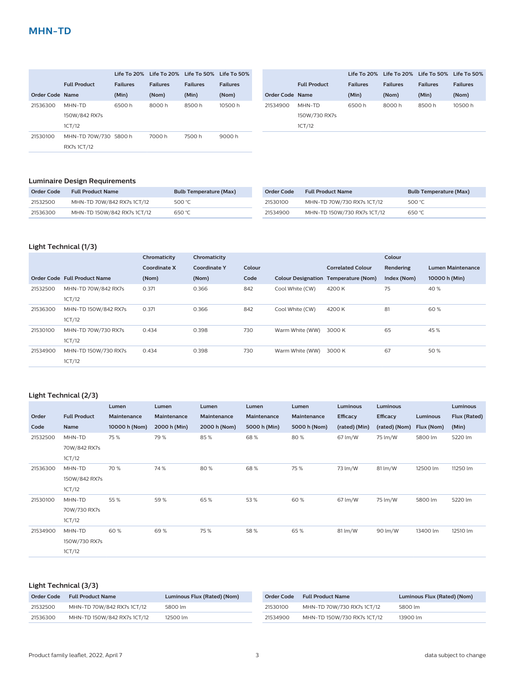|                 |                       |                 |                 | Life To 20% Life To 20% Life To 50% | $\overline{ }$ l ife To 50% |
|-----------------|-----------------------|-----------------|-----------------|-------------------------------------|-----------------------------|
|                 | <b>Full Product</b>   | <b>Failures</b> | <b>Failures</b> | <b>Failures</b>                     | <b>Failures</b>             |
| Order Code Name |                       | (Min)           | (Nom)           | (Min)                               | (Nom)                       |
| 21536300        | MHN-TD                | 6500h           | 8000 h          | 8500 h                              | 10500 h                     |
|                 | 150W/842 RX7s         |                 |                 |                                     |                             |
|                 | 1CT/12                |                 |                 |                                     |                             |
| 21530100        | MHN-TD 70W/730 5800 h |                 | 7000 h          | 7500 h                              | 9000 h                      |
|                 | RX7s 1CT/12           |                 |                 |                                     |                             |

|                 |                     |                 | Life To 20% Life To 20% Life To 50% Life To 50% |                 |                 |
|-----------------|---------------------|-----------------|-------------------------------------------------|-----------------|-----------------|
|                 | <b>Full Product</b> | <b>Failures</b> | <b>Failures</b>                                 | <b>Failures</b> | <b>Failures</b> |
| Order Code Name |                     | (Min)           | (Nom)                                           | (Min)           | (Nom)           |
| 21534900        | MHN-TD              | 6500 h          | 8000 h                                          | 8500 h          | 10500 h         |
|                 | 150W/730 RX7s       |                 |                                                 |                 |                 |
|                 | 1CT/12              |                 |                                                 |                 |                 |
|                 |                     |                 |                                                 |                 |                 |

#### **Luminaire Design Requirements**

| Order Code | <b>Full Product Name</b>    | Bulb Temperature (Max) | Order Code | <b>Full Product Name</b>    | <b>Bulb Temperature (Max)</b> |
|------------|-----------------------------|------------------------|------------|-----------------------------|-------------------------------|
| 21532500   | MHN-TD 70W/842 RX7s 1CT/12  | 500 $°C$               | 21530100   | MHN-TD 70W/730 RX7s 1CT/12  | 500 °C                        |
| 21536300   | MHN-TD 150W/842 RX7s 1CT/12 | 650 °C                 | 21534900   | MHN-TD 150W/730 RX7s 1CT/12 | 650 °C                        |

#### **Light Technical (1/3)**

|          |                              | Chromaticity | Chromaticity        |        |                 |                                      | Colour      |                          |
|----------|------------------------------|--------------|---------------------|--------|-----------------|--------------------------------------|-------------|--------------------------|
|          |                              | Coordinate X | <b>Coordinate Y</b> | Colour |                 | <b>Correlated Colour</b>             | Rendering   | <b>Lumen Maintenance</b> |
|          | Order Code Full Product Name | (Nom)        | (Nom)               | Code   |                 | Colour Designation Temperature (Nom) | Index (Nom) | 10000 h (Min)            |
| 21532500 | MHN-TD 70W/842 RX7s          | 0.371        | 0.366               | 842    | Cool White (CW) | 4200 K                               | 75          | 40 %                     |
|          | 1CT/12                       |              |                     |        |                 |                                      |             |                          |
| 21536300 | MHN-TD 150W/842 RX7s         | 0.371        | 0.366               | 842    | Cool White (CW) | 4200 K                               | 81          | 60%                      |
|          | 1CT/12                       |              |                     |        |                 |                                      |             |                          |
| 21530100 | MHN-TD 70W/730 RX7s          | 0.434        | 0.398               | 730    | Warm White (WW) | 3000 K                               | 65          | 45 %                     |
|          | 1CT/12                       |              |                     |        |                 |                                      |             |                          |
| 21534900 | MHN-TD 150W/730 RX7s         | 0.434        | 0.398               | 730    | Warm White (WW) | 3000 K                               | 67          | 50 %                     |
|          | 1CT/12                       |              |                     |        |                 |                                      |             |                          |

#### **Light Technical (2/3)**

|          |                     | Lumen         | Lumen        | Lumen        | Lumen        | Lumen        | Luminous        | Luminous        |            | Luminous     |
|----------|---------------------|---------------|--------------|--------------|--------------|--------------|-----------------|-----------------|------------|--------------|
| Order    | <b>Full Product</b> | Maintenance   | Maintenance  | Maintenance  | Maintenance  | Maintenance  | <b>Efficacy</b> | <b>Efficacy</b> | Luminous   | Flux (Rated) |
| Code     | Name                | 10000 h (Nom) | 2000 h (Min) | 2000 h (Nom) | 5000 h (Min) | 5000 h (Nom) | (rated) (Min)   | (rated) (Nom)   | Flux (Nom) | (Min)        |
| 21532500 | MHN-TD              | 75 %          | 79 %         | 85%          | 68%          | 80%          | 67 lm/W         | 75 lm/W         | 5800 lm    | 5220 lm      |
|          | 70W/842 RX7s        |               |              |              |              |              |                 |                 |            |              |
|          | 1CT/12              |               |              |              |              |              |                 |                 |            |              |
| 21536300 | MHN-TD              | 70 %          | 74 %         | 80%          | 68%          | 75 %         | 73 lm/W         | 81 lm/W         | 12500 lm   | 11250 lm     |
|          | 150W/842 RX7s       |               |              |              |              |              |                 |                 |            |              |
|          | 1CT/12              |               |              |              |              |              |                 |                 |            |              |
| 21530100 | MHN-TD              | 55 %          | 59 %         | 65%          | 53%          | 60%          | 67 lm/W         | 75 lm/W         | 5800 lm    | 5220 lm      |
|          | 70W/730 RX7s        |               |              |              |              |              |                 |                 |            |              |
|          | 1CT/12              |               |              |              |              |              |                 |                 |            |              |
| 21534900 | MHN-TD              | 60%           | 69%          | 75 %         | 58%          | 65%          | 81 lm/W         | 90 lm/W         | 13400 lm   | 12510 lm     |
|          | 150W/730 RX7s       |               |              |              |              |              |                 |                 |            |              |
|          | 1CT/12              |               |              |              |              |              |                 |                 |            |              |

#### **Light Technical (3/3)**

| Order Code | <b>Full Product Name</b>    | Luminous Flux (Rated) (Nom) | Order Code | <b>Full Product Name</b>    | Luminous Flux (Rated) (Nom) |
|------------|-----------------------------|-----------------------------|------------|-----------------------------|-----------------------------|
| 21532500   | MHN-TD 70W/842 RX7s 1CT/12  | 5800 lm                     | 21530100   | MHN-TD 70W/730 RX7s 1CT/12  | 5800 lm                     |
| 21536300   | MHN-TD 150W/842 RX7s 1CT/12 | 12500 lm                    | 21534900   | MHN-TD 150W/730 RX7s 1CT/12 | 13900 lm                    |